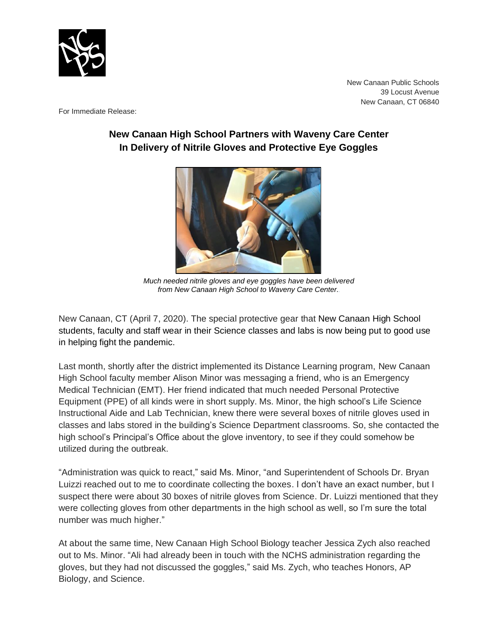

New Canaan Public Schools 39 Locust Avenue New Canaan, CT 06840

For Immediate Release:

## **New Canaan High School Partners with Waveny Care Center In Delivery of Nitrile Gloves and Protective Eye Goggles**



*Much needed nitrile gloves and eye goggles have been delivered from New Canaan High School to Waveny Care Center..*

New Canaan, CT (April 7, 2020). The special protective gear that New Canaan High School students, faculty and staff wear in their Science classes and labs is now being put to good use in helping fight the pandemic.

Last month, shortly after the district implemented its Distance Learning program, New Canaan High School faculty member Alison Minor was messaging a friend, who is an Emergency Medical Technician (EMT). Her friend indicated that much needed Personal Protective Equipment (PPE) of all kinds were in short supply. Ms. Minor, the high school's Life Science Instructional Aide and Lab Technician, knew there were several boxes of nitrile gloves used in classes and labs stored in the building's Science Department classrooms. So, she contacted the high school's Principal's Office about the glove inventory, to see if they could somehow be utilized during the outbreak.

"Administration was quick to react," said Ms. Minor, "and Superintendent of Schools Dr. Bryan Luizzi reached out to me to coordinate collecting the boxes. I don't have an exact number, but I suspect there were about 30 boxes of nitrile gloves from Science. Dr. Luizzi mentioned that they were collecting gloves from other departments in the high school as well, so I'm sure the total number was much higher."

At about the same time, New Canaan High School Biology teacher Jessica Zych also reached out to Ms. Minor. "Ali had already been in touch with the NCHS administration regarding the gloves, but they had not discussed the goggles," said Ms. Zych, who teaches Honors, AP Biology, and Science.